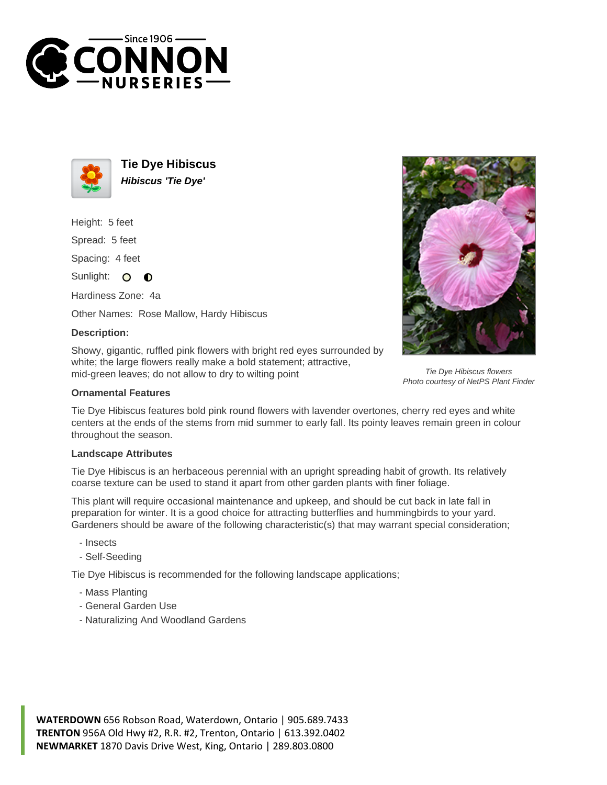



**Tie Dye Hibiscus Hibiscus 'Tie Dye'**

Height: 5 feet

Spread: 5 feet

Spacing: 4 feet

Sunlight: O  $\bullet$ 

Hardiness Zone: 4a

Other Names: Rose Mallow, Hardy Hibiscus

## **Description:**

Showy, gigantic, ruffled pink flowers with bright red eyes surrounded by white; the large flowers really make a bold statement; attractive, mid-green leaves; do not allow to dry to wilting point

## **Ornamental Features**

Tie Dye Hibiscus features bold pink round flowers with lavender overtones, cherry red eyes and white centers at the ends of the stems from mid summer to early fall. Its pointy leaves remain green in colour throughout the season.

## **Landscape Attributes**

Tie Dye Hibiscus is an herbaceous perennial with an upright spreading habit of growth. Its relatively coarse texture can be used to stand it apart from other garden plants with finer foliage.

This plant will require occasional maintenance and upkeep, and should be cut back in late fall in preparation for winter. It is a good choice for attracting butterflies and hummingbirds to your yard. Gardeners should be aware of the following characteristic(s) that may warrant special consideration;

- Insects
- Self-Seeding

Tie Dye Hibiscus is recommended for the following landscape applications;

- Mass Planting
- General Garden Use
- Naturalizing And Woodland Gardens





Tie Dye Hibiscus flowers Photo courtesy of NetPS Plant Finder